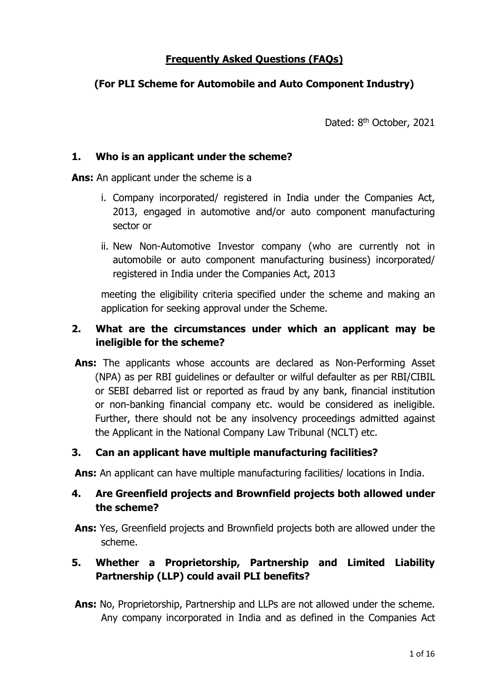### Frequently Asked Questions (FAQs)

# (For PLI Scheme for Automobile and Auto Component Industry)

Dated: 8<sup>th</sup> October, 2021

#### 1. Who is an applicant under the scheme?

Ans: An applicant under the scheme is a

- i. Company incorporated/ registered in India under the Companies Act, 2013, engaged in automotive and/or auto component manufacturing sector or
- ii. New Non-Automotive Investor company (who are currently not in automobile or auto component manufacturing business) incorporated/ registered in India under the Companies Act, 2013

meeting the eligibility criteria specified under the scheme and making an application for seeking approval under the Scheme.

### 2. What are the circumstances under which an applicant may be ineligible for the scheme?

Ans: The applicants whose accounts are declared as Non-Performing Asset (NPA) as per RBI guidelines or defaulter or wilful defaulter as per RBI/CIBIL or SEBI debarred list or reported as fraud by any bank, financial institution or non-banking financial company etc. would be considered as ineligible. Further, there should not be any insolvency proceedings admitted against the Applicant in the National Company Law Tribunal (NCLT) etc.

#### 3. Can an applicant have multiple manufacturing facilities?

Ans: An applicant can have multiple manufacturing facilities/ locations in India.

### 4. Are Greenfield projects and Brownfield projects both allowed under the scheme?

Ans: Yes, Greenfield projects and Brownfield projects both are allowed under the scheme.

# 5. Whether a Proprietorship, Partnership and Limited Liability Partnership (LLP) could avail PLI benefits?

Ans: No, Proprietorship, Partnership and LLPs are not allowed under the scheme. Any company incorporated in India and as defined in the Companies Act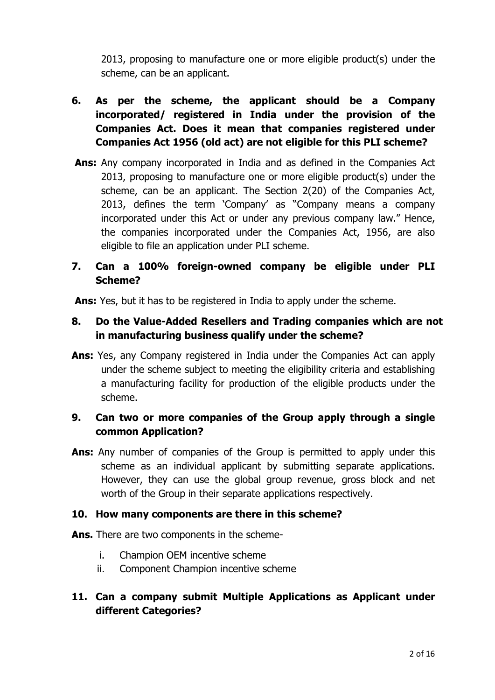2013, proposing to manufacture one or more eligible product(s) under the scheme, can be an applicant.

- 6. As per the scheme, the applicant should be a Company incorporated/ registered in India under the provision of the Companies Act. Does it mean that companies registered under Companies Act 1956 (old act) are not eligible for this PLI scheme?
- Ans: Any company incorporated in India and as defined in the Companies Act 2013, proposing to manufacture one or more eligible product(s) under the scheme, can be an applicant. The Section 2(20) of the Companies Act, 2013, defines the term 'Company' as "Company means a company incorporated under this Act or under any previous company law." Hence, the companies incorporated under the Companies Act, 1956, are also eligible to file an application under PLI scheme.
- 7. Can a 100% foreign-owned company be eligible under PLI Scheme?

Ans: Yes, but it has to be registered in India to apply under the scheme.

### 8. Do the Value-Added Resellers and Trading companies which are not in manufacturing business qualify under the scheme?

Ans: Yes, any Company registered in India under the Companies Act can apply under the scheme subject to meeting the eligibility criteria and establishing a manufacturing facility for production of the eligible products under the scheme.

# 9. Can two or more companies of the Group apply through a single common Application?

Ans: Any number of companies of the Group is permitted to apply under this scheme as an individual applicant by submitting separate applications. However, they can use the global group revenue, gross block and net worth of the Group in their separate applications respectively.

#### 10. How many components are there in this scheme?

- Ans. There are two components in the scheme
	- i. Champion OEM incentive scheme
	- ii. Component Champion incentive scheme

# 11. Can a company submit Multiple Applications as Applicant under different Categories?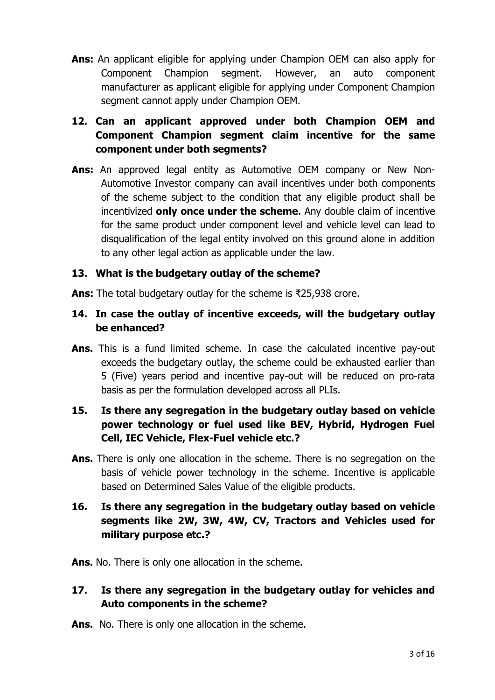Ans: An applicant eligible for applying under Champion OEM can also apply for Component Champion segment. However, an auto component manufacturer as applicant eligible for applying under Component Champion segment cannot apply under Champion OEM.

# 12. Can an applicant approved under both Champion OEM and Component Champion segment claim incentive for the same component under both segments?

Ans: An approved legal entity as Automotive OEM company or New Non-Automotive Investor company can avail incentives under both components of the scheme subject to the condition that any eligible product shall be incentivized only once under the scheme. Any double claim of incentive for the same product under component level and vehicle level can lead to disqualification of the legal entity involved on this ground alone in addition to any other legal action as applicable under the law.

#### 13. What is the budgetary outlay of the scheme?

Ans: The total budgetary outlay for the scheme is ₹25,938 crore.

### 14. In case the outlay of incentive exceeds, will the budgetary outlay be enhanced?

Ans. This is a fund limited scheme. In case the calculated incentive pay-out exceeds the budgetary outlay, the scheme could be exhausted earlier than 5 (Five) years period and incentive pay-out will be reduced on pro-rata basis as per the formulation developed across all PLIs.

# 15. Is there any segregation in the budgetary outlay based on vehicle power technology or fuel used like BEV, Hybrid, Hydrogen Fuel Cell, IEC Vehicle, Flex-Fuel vehicle etc.?

Ans. There is only one allocation in the scheme. There is no segregation on the basis of vehicle power technology in the scheme. Incentive is applicable based on Determined Sales Value of the eligible products.

# 16. Is there any segregation in the budgetary outlay based on vehicle segments like 2W, 3W, 4W, CV, Tractors and Vehicles used for military purpose etc.?

Ans. No. There is only one allocation in the scheme.

# 17. Is there any segregation in the budgetary outlay for vehicles and Auto components in the scheme?

Ans. No. There is only one allocation in the scheme.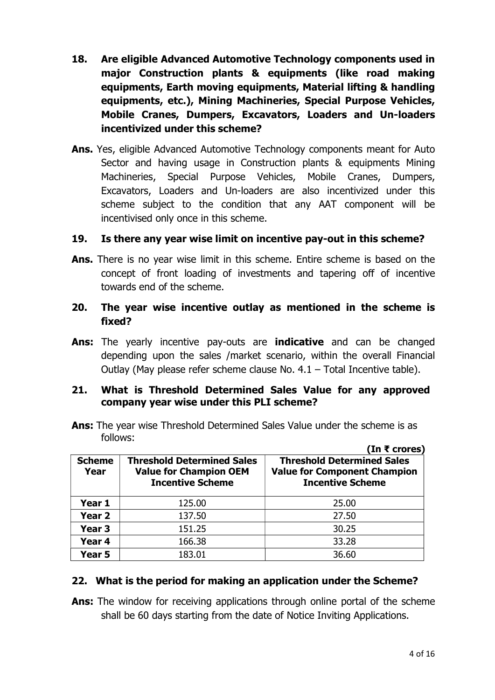- 18. Are eligible Advanced Automotive Technology components used in major Construction plants & equipments (like road making equipments, Earth moving equipments, Material lifting & handling equipments, etc.), Mining Machineries, Special Purpose Vehicles, Mobile Cranes, Dumpers, Excavators, Loaders and Un-loaders incentivized under this scheme?
- Ans. Yes, eligible Advanced Automotive Technology components meant for Auto Sector and having usage in Construction plants & equipments Mining Machineries, Special Purpose Vehicles, Mobile Cranes, Dumpers, Excavators, Loaders and Un-loaders are also incentivized under this scheme subject to the condition that any AAT component will be incentivised only once in this scheme.

#### 19. Is there any year wise limit on incentive pay-out in this scheme?

Ans. There is no year wise limit in this scheme. Entire scheme is based on the concept of front loading of investments and tapering off of incentive towards end of the scheme.

#### 20. The year wise incentive outlay as mentioned in the scheme is fixed?

Ans: The yearly incentive pay-outs are indicative and can be changed depending upon the sales /market scenario, within the overall Financial Outlay (May please refer scheme clause No. 4.1 – Total Incentive table).

#### 21. What is Threshold Determined Sales Value for any approved company year wise under this PLI scheme?

Ans: The year wise Threshold Determined Sales Value under the scheme is as follows:  $(1 - \epsilon)^2$ 

| <b>Scheme</b><br>Year | <b>Threshold Determined Sales</b><br><b>Value for Champion OEM</b><br><b>Incentive Scheme</b> | <b>Threshold Determined Sales</b><br><b>Value for Component Champion</b><br><b>Incentive Scheme</b> |  |  |  |  |
|-----------------------|-----------------------------------------------------------------------------------------------|-----------------------------------------------------------------------------------------------------|--|--|--|--|
| Year 1                | 125.00                                                                                        | 25.00                                                                                               |  |  |  |  |
| Year <sub>2</sub>     | 137.50                                                                                        | 27.50                                                                                               |  |  |  |  |
| Year <sub>3</sub>     | 151.25                                                                                        | 30.25                                                                                               |  |  |  |  |
| Year 4                | 166.38                                                                                        | 33.28                                                                                               |  |  |  |  |
| Year 5                | 183.01                                                                                        | 36.60                                                                                               |  |  |  |  |

#### 22. What is the period for making an application under the Scheme?

Ans: The window for receiving applications through online portal of the scheme shall be 60 days starting from the date of Notice Inviting Applications.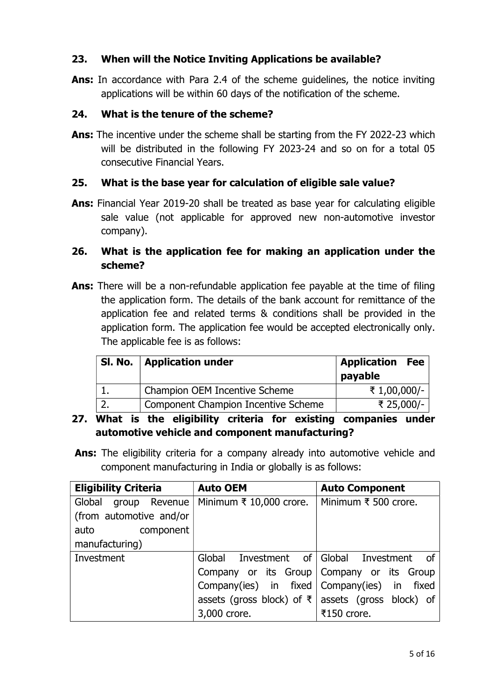#### 23. When will the Notice Inviting Applications be available?

Ans: In accordance with Para 2.4 of the scheme quidelines, the notice inviting applications will be within 60 days of the notification of the scheme.

### 24. What is the tenure of the scheme?

Ans: The incentive under the scheme shall be starting from the FY 2022-23 which will be distributed in the following FY 2023-24 and so on for a total 05 consecutive Financial Years.

# 25. What is the base year for calculation of eligible sale value?

Ans: Financial Year 2019-20 shall be treated as base year for calculating eligible sale value (not applicable for approved new non-automotive investor company).

# 26. What is the application fee for making an application under the scheme?

Ans: There will be a non-refundable application fee payable at the time of filing the application form. The details of the bank account for remittance of the application fee and related terms & conditions shall be provided in the application form. The application fee would be accepted electronically only. The applicable fee is as follows:

| Sl. No. | <b>Application under</b>            | Application<br><b>Fee</b><br>payable |
|---------|-------------------------------------|--------------------------------------|
|         | Champion OEM Incentive Scheme       | ₹ 1,00,000/-                         |
|         | Component Champion Incentive Scheme | ₹ 25,000/-                           |

- 27. What is the eligibility criteria for existing companies under automotive vehicle and component manufacturing?
- Ans: The eligibility criteria for a company already into automotive vehicle and component manufacturing in India or globally is as follows:

| <b>Eligibility Criteria</b> | <b>Auto OEM</b>                           | <b>Auto Component</b>                 |  |  |  |
|-----------------------------|-------------------------------------------|---------------------------------------|--|--|--|
| Global<br>group Revenue     | Minimum $\bar{\tau}$ 10,000 crore.        | Minimum ₹ 500 crore.                  |  |  |  |
| (from automotive and/or     |                                           |                                       |  |  |  |
| component<br>auto           |                                           |                                       |  |  |  |
| manufacturing)              |                                           |                                       |  |  |  |
| Investment                  | Global                                    | Investment of Global Investment<br>of |  |  |  |
|                             | Company or its Group Company or its Group |                                       |  |  |  |
|                             | Company(ies) in fixed                     | Company(ies) in<br>fixed              |  |  |  |
|                             | assets (gross block) of $\bar{x}$         | assets (gross block) of               |  |  |  |
|                             | 3,000 crore.                              | ₹150 crore.                           |  |  |  |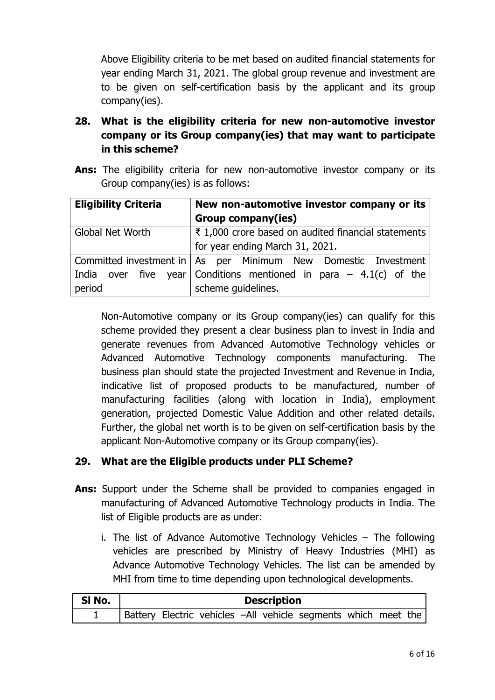Above Eligibility criteria to be met based on audited financial statements for year ending March 31, 2021. The global group revenue and investment are to be given on self-certification basis by the applicant and its group company(ies).

- 28. What is the eligibility criteria for new non-automotive investor company or its Group company(ies) that may want to participate in this scheme?
- Ans: The eligibility criteria for new non-automotive investor company or its Group company(ies) is as follows:

| <b>Eligibility Criteria</b> | New non-automotive investor company or its                                      |  |  |  |  |  |
|-----------------------------|---------------------------------------------------------------------------------|--|--|--|--|--|
|                             | <b>Group company(ies)</b>                                                       |  |  |  |  |  |
| <b>Global Net Worth</b>     | ₹ 1,000 crore based on audited financial statements                             |  |  |  |  |  |
|                             | for year ending March 31, 2021.                                                 |  |  |  |  |  |
|                             | Committed investment in   As    per    Minimum    New    Domestic    Investment |  |  |  |  |  |
|                             | India over five year Conditions mentioned in para $-$ 4.1(c) of the             |  |  |  |  |  |
| period                      | scheme guidelines.                                                              |  |  |  |  |  |

Non-Automotive company or its Group company(ies) can qualify for this scheme provided they present a clear business plan to invest in India and generate revenues from Advanced Automotive Technology vehicles or Advanced Automotive Technology components manufacturing. The business plan should state the projected Investment and Revenue in India, indicative list of proposed products to be manufactured, number of manufacturing facilities (along with location in India), employment generation, projected Domestic Value Addition and other related details. Further, the global net worth is to be given on self-certification basis by the applicant Non-Automotive company or its Group company(ies).

#### 29. What are the Eligible products under PLI Scheme?

- Ans: Support under the Scheme shall be provided to companies engaged in manufacturing of Advanced Automotive Technology products in India. The list of Eligible products are as under:
	- i. The list of Advance Automotive Technology Vehicles The following vehicles are prescribed by Ministry of Heavy Industries (MHI) as Advance Automotive Technology Vehicles. The list can be amended by MHI from time to time depending upon technological developments.

| SI No. | <b>Description</b>                                             |  |  |  |  |  |  |  |  |  |
|--------|----------------------------------------------------------------|--|--|--|--|--|--|--|--|--|
|        | Battery Electric vehicles -All vehicle segments which meet the |  |  |  |  |  |  |  |  |  |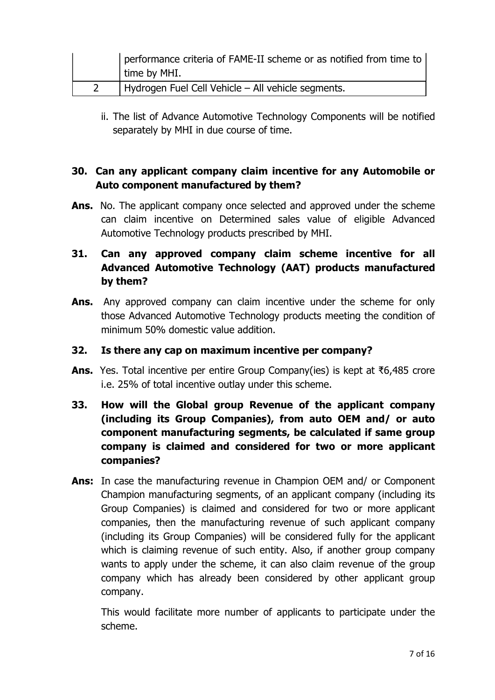| performance criteria of FAME-II scheme or as notified from time to  <br>time by MHI. |
|--------------------------------------------------------------------------------------|
| Hydrogen Fuel Cell Vehicle - All vehicle segments.                                   |

ii. The list of Advance Automotive Technology Components will be notified separately by MHI in due course of time.

# 30. Can any applicant company claim incentive for any Automobile or Auto component manufactured by them?

Ans. No. The applicant company once selected and approved under the scheme can claim incentive on Determined sales value of eligible Advanced Automotive Technology products prescribed by MHI.

# 31. Can any approved company claim scheme incentive for all Advanced Automotive Technology (AAT) products manufactured by them?

Ans. Any approved company can claim incentive under the scheme for only those Advanced Automotive Technology products meeting the condition of minimum 50% domestic value addition.

#### 32. Is there any cap on maximum incentive per company?

- Ans. Yes. Total incentive per entire Group Company(ies) is kept at ₹6,485 crore i.e. 25% of total incentive outlay under this scheme.
- 33. How will the Global group Revenue of the applicant company (including its Group Companies), from auto OEM and/ or auto component manufacturing segments, be calculated if same group company is claimed and considered for two or more applicant companies?
- Ans: In case the manufacturing revenue in Champion OEM and/ or Component Champion manufacturing segments, of an applicant company (including its Group Companies) is claimed and considered for two or more applicant companies, then the manufacturing revenue of such applicant company (including its Group Companies) will be considered fully for the applicant which is claiming revenue of such entity. Also, if another group company wants to apply under the scheme, it can also claim revenue of the group company which has already been considered by other applicant group company.

This would facilitate more number of applicants to participate under the scheme.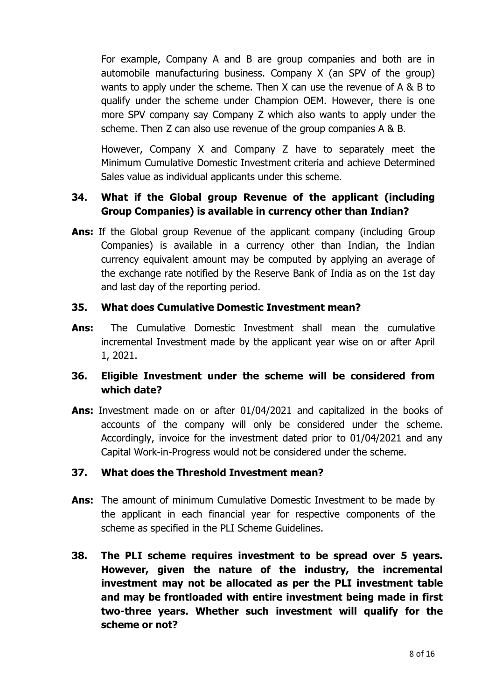For example, Company A and B are group companies and both are in automobile manufacturing business. Company X (an SPV of the group) wants to apply under the scheme. Then X can use the revenue of A & B to qualify under the scheme under Champion OEM. However, there is one more SPV company say Company Z which also wants to apply under the scheme. Then Z can also use revenue of the group companies A & B.

However, Company X and Company Z have to separately meet the Minimum Cumulative Domestic Investment criteria and achieve Determined Sales value as individual applicants under this scheme.

# 34. What if the Global group Revenue of the applicant (including Group Companies) is available in currency other than Indian?

Ans: If the Global group Revenue of the applicant company (including Group Companies) is available in a currency other than Indian, the Indian currency equivalent amount may be computed by applying an average of the exchange rate notified by the Reserve Bank of India as on the 1st day and last day of the reporting period.

### 35. What does Cumulative Domestic Investment mean?

Ans: The Cumulative Domestic Investment shall mean the cumulative incremental Investment made by the applicant year wise on or after April 1, 2021.

# 36. Eligible Investment under the scheme will be considered from which date?

Ans: Investment made on or after 01/04/2021 and capitalized in the books of accounts of the company will only be considered under the scheme. Accordingly, invoice for the investment dated prior to 01/04/2021 and any Capital Work-in-Progress would not be considered under the scheme.

#### 37. What does the Threshold Investment mean?

- Ans: The amount of minimum Cumulative Domestic Investment to be made by the applicant in each financial year for respective components of the scheme as specified in the PLI Scheme Guidelines.
- 38. The PLI scheme requires investment to be spread over 5 years. However, given the nature of the industry, the incremental investment may not be allocated as per the PLI investment table and may be frontloaded with entire investment being made in first two-three years. Whether such investment will qualify for the scheme or not?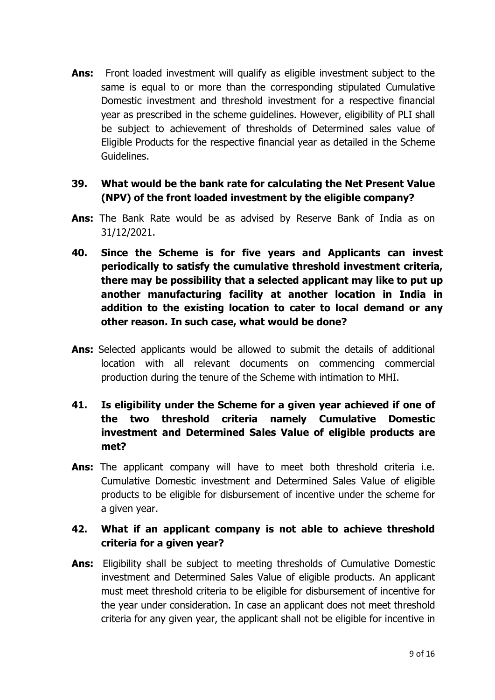Ans: Front loaded investment will qualify as eligible investment subject to the same is equal to or more than the corresponding stipulated Cumulative Domestic investment and threshold investment for a respective financial year as prescribed in the scheme guidelines. However, eligibility of PLI shall be subject to achievement of thresholds of Determined sales value of Eligible Products for the respective financial year as detailed in the Scheme Guidelines.

### 39. What would be the bank rate for calculating the Net Present Value (NPV) of the front loaded investment by the eligible company?

- Ans: The Bank Rate would be as advised by Reserve Bank of India as on 31/12/2021.
- 40. Since the Scheme is for five years and Applicants can invest periodically to satisfy the cumulative threshold investment criteria, there may be possibility that a selected applicant may like to put up another manufacturing facility at another location in India in addition to the existing location to cater to local demand or any other reason. In such case, what would be done?
- Ans: Selected applicants would be allowed to submit the details of additional location with all relevant documents on commencing commercial production during the tenure of the Scheme with intimation to MHI.
- 41. Is eligibility under the Scheme for a given year achieved if one of the two threshold criteria namely Cumulative Domestic investment and Determined Sales Value of eligible products are met?
- Ans: The applicant company will have to meet both threshold criteria i.e. Cumulative Domestic investment and Determined Sales Value of eligible products to be eligible for disbursement of incentive under the scheme for a given year.

# 42. What if an applicant company is not able to achieve threshold criteria for a given year?

Ans: Eligibility shall be subject to meeting thresholds of Cumulative Domestic investment and Determined Sales Value of eligible products. An applicant must meet threshold criteria to be eligible for disbursement of incentive for the year under consideration. In case an applicant does not meet threshold criteria for any given year, the applicant shall not be eligible for incentive in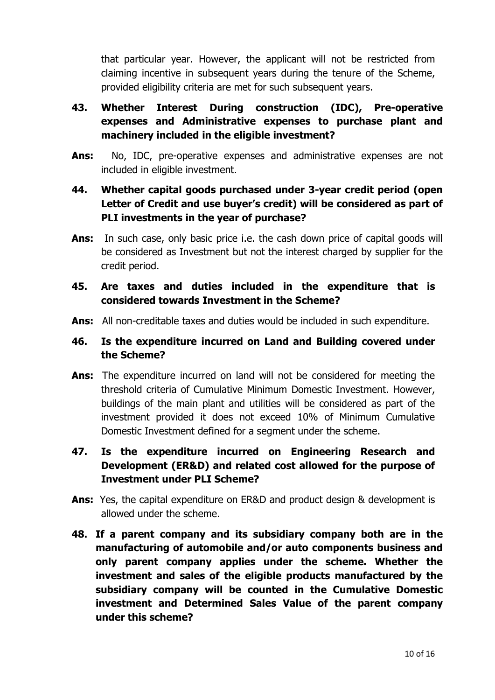that particular year. However, the applicant will not be restricted from claiming incentive in subsequent years during the tenure of the Scheme, provided eligibility criteria are met for such subsequent years.

# 43. Whether Interest During construction (IDC), Pre-operative expenses and Administrative expenses to purchase plant and machinery included in the eligible investment?

Ans: No, IDC, pre-operative expenses and administrative expenses are not included in eligible investment.

# 44. Whether capital goods purchased under 3-year credit period (open Letter of Credit and use buyer's credit) will be considered as part of PLI investments in the year of purchase?

**Ans:** In such case, only basic price i.e. the cash down price of capital goods will be considered as Investment but not the interest charged by supplier for the credit period.

# 45. Are taxes and duties included in the expenditure that is considered towards Investment in the Scheme?

Ans: All non-creditable taxes and duties would be included in such expenditure.

### 46. Is the expenditure incurred on Land and Building covered under the Scheme?

Ans: The expenditure incurred on land will not be considered for meeting the threshold criteria of Cumulative Minimum Domestic Investment. However, buildings of the main plant and utilities will be considered as part of the investment provided it does not exceed 10% of Minimum Cumulative Domestic Investment defined for a segment under the scheme.

# 47. Is the expenditure incurred on Engineering Research and Development (ER&D) and related cost allowed for the purpose of Investment under PLI Scheme?

- Ans: Yes, the capital expenditure on ER&D and product design & development is allowed under the scheme.
- 48. If a parent company and its subsidiary company both are in the manufacturing of automobile and/or auto components business and only parent company applies under the scheme. Whether the investment and sales of the eligible products manufactured by the subsidiary company will be counted in the Cumulative Domestic investment and Determined Sales Value of the parent company under this scheme?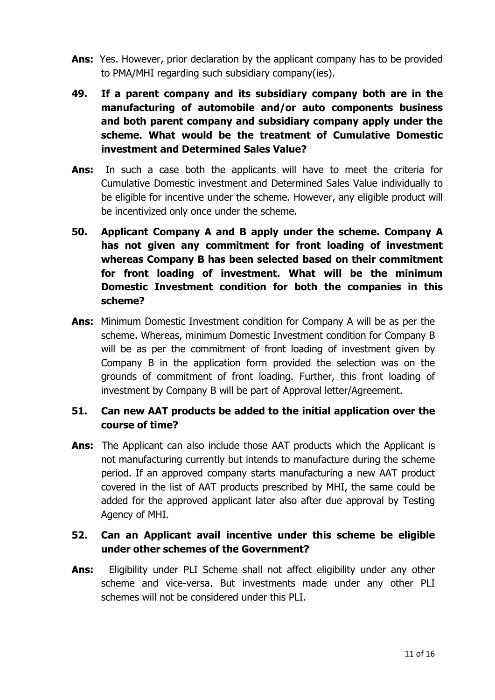- Ans: Yes. However, prior declaration by the applicant company has to be provided to PMA/MHI regarding such subsidiary company(ies).
- 49. If a parent company and its subsidiary company both are in the manufacturing of automobile and/or auto components business and both parent company and subsidiary company apply under the scheme. What would be the treatment of Cumulative Domestic investment and Determined Sales Value?
- Ans: In such a case both the applicants will have to meet the criteria for Cumulative Domestic investment and Determined Sales Value individually to be eligible for incentive under the scheme. However, any eligible product will be incentivized only once under the scheme.
- 50. Applicant Company A and B apply under the scheme. Company A has not given any commitment for front loading of investment whereas Company B has been selected based on their commitment for front loading of investment. What will be the minimum Domestic Investment condition for both the companies in this scheme?
- Ans: Minimum Domestic Investment condition for Company A will be as per the scheme. Whereas, minimum Domestic Investment condition for Company B will be as per the commitment of front loading of investment given by Company B in the application form provided the selection was on the grounds of commitment of front loading. Further, this front loading of investment by Company B will be part of Approval letter/Agreement.

# 51. Can new AAT products be added to the initial application over the course of time?

Ans: The Applicant can also include those AAT products which the Applicant is not manufacturing currently but intends to manufacture during the scheme period. If an approved company starts manufacturing a new AAT product covered in the list of AAT products prescribed by MHI, the same could be added for the approved applicant later also after due approval by Testing Agency of MHI.

# 52. Can an Applicant avail incentive under this scheme be eligible under other schemes of the Government?

Ans: Eligibility under PLI Scheme shall not affect eligibility under any other scheme and vice-versa. But investments made under any other PLI schemes will not be considered under this PLI.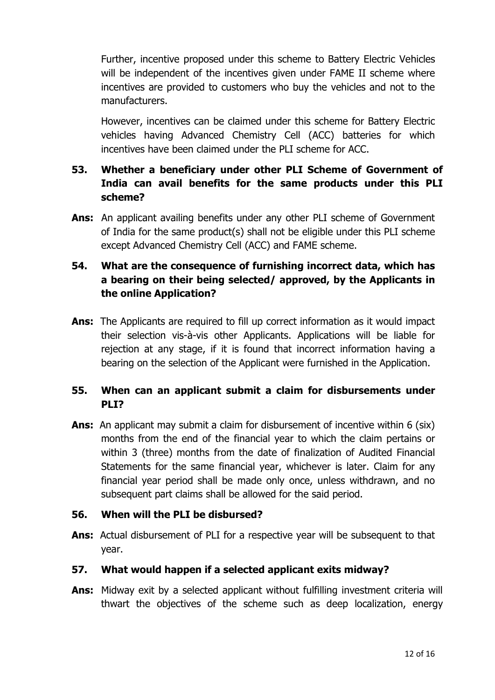Further, incentive proposed under this scheme to Battery Electric Vehicles will be independent of the incentives given under FAME II scheme where incentives are provided to customers who buy the vehicles and not to the manufacturers.

However, incentives can be claimed under this scheme for Battery Electric vehicles having Advanced Chemistry Cell (ACC) batteries for which incentives have been claimed under the PLI scheme for ACC.

# 53. Whether a beneficiary under other PLI Scheme of Government of India can avail benefits for the same products under this PLI scheme?

Ans: An applicant availing benefits under any other PLI scheme of Government of India for the same product(s) shall not be eligible under this PLI scheme except Advanced Chemistry Cell (ACC) and FAME scheme.

# 54. What are the consequence of furnishing incorrect data, which has a bearing on their being selected/ approved, by the Applicants in the online Application?

Ans: The Applicants are required to fill up correct information as it would impact their selection vis-à-vis other Applicants. Applications will be liable for rejection at any stage, if it is found that incorrect information having a bearing on the selection of the Applicant were furnished in the Application.

# 55. When can an applicant submit a claim for disbursements under PLI?

Ans: An applicant may submit a claim for disbursement of incentive within 6 (six) months from the end of the financial year to which the claim pertains or within 3 (three) months from the date of finalization of Audited Financial Statements for the same financial year, whichever is later. Claim for any financial year period shall be made only once, unless withdrawn, and no subsequent part claims shall be allowed for the said period.

#### 56. When will the PLI be disbursed?

Ans: Actual disbursement of PLI for a respective year will be subsequent to that year.

# 57. What would happen if a selected applicant exits midway?

Ans: Midway exit by a selected applicant without fulfilling investment criteria will thwart the objectives of the scheme such as deep localization, energy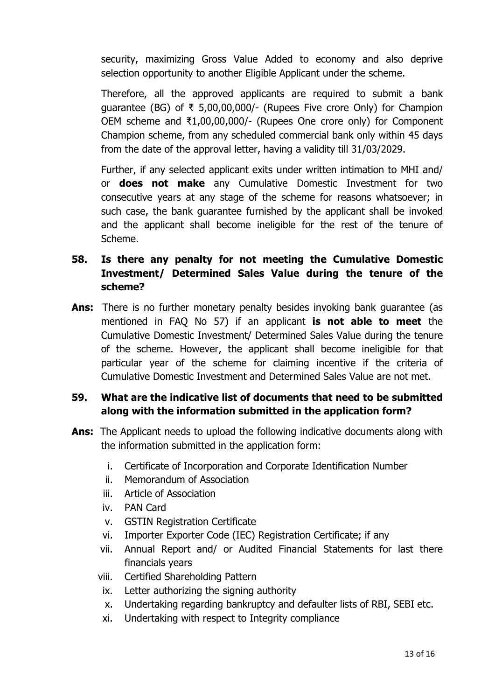security, maximizing Gross Value Added to economy and also deprive selection opportunity to another Eligible Applicant under the scheme.

Therefore, all the approved applicants are required to submit a bank guarantee (BG) of ₹ 5,00,00,000/- (Rupees Five crore Only) for Champion OEM scheme and ₹1,00,00,000/- (Rupees One crore only) for Component Champion scheme, from any scheduled commercial bank only within 45 days from the date of the approval letter, having a validity till 31/03/2029.

Further, if any selected applicant exits under written intimation to MHI and/ or **does not make** any Cumulative Domestic Investment for two consecutive years at any stage of the scheme for reasons whatsoever; in such case, the bank guarantee furnished by the applicant shall be invoked and the applicant shall become ineligible for the rest of the tenure of Scheme.

# 58. Is there any penalty for not meeting the Cumulative Domestic Investment/ Determined Sales Value during the tenure of the scheme?

Ans: There is no further monetary penalty besides invoking bank quarantee (as mentioned in FAQ No 57) if an applicant is not able to meet the Cumulative Domestic Investment/ Determined Sales Value during the tenure of the scheme. However, the applicant shall become ineligible for that particular year of the scheme for claiming incentive if the criteria of Cumulative Domestic Investment and Determined Sales Value are not met.

# 59. What are the indicative list of documents that need to be submitted along with the information submitted in the application form?

- Ans: The Applicant needs to upload the following indicative documents along with the information submitted in the application form:
	- i. Certificate of Incorporation and Corporate Identification Number
	- ii. Memorandum of Association
	- iii. Article of Association
	- iv. PAN Card
	- v. GSTIN Registration Certificate
	- vi. Importer Exporter Code (IEC) Registration Certificate; if any
	- vii. Annual Report and/ or Audited Financial Statements for last there financials years
	- viii. Certified Shareholding Pattern
	- ix. Letter authorizing the signing authority
	- x. Undertaking regarding bankruptcy and defaulter lists of RBI, SEBI etc.
	- xi. Undertaking with respect to Integrity compliance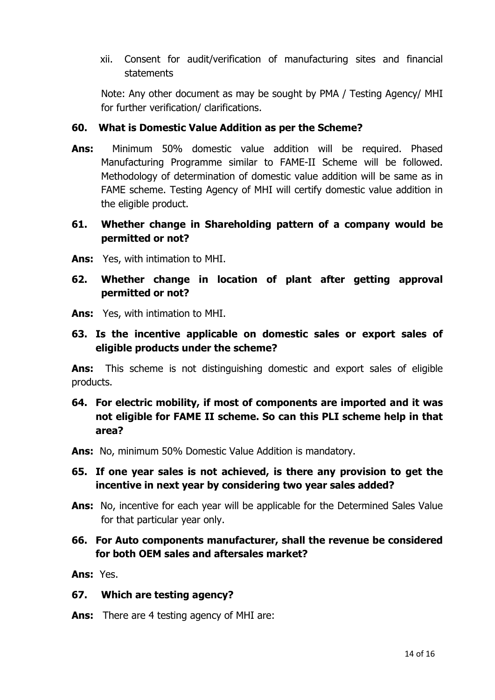xii. Consent for audit/verification of manufacturing sites and financial statements

Note: Any other document as may be sought by PMA / Testing Agency/ MHI for further verification/ clarifications.

#### 60. What is Domestic Value Addition as per the Scheme?

Ans: Minimum 50% domestic value addition will be required. Phased Manufacturing Programme similar to FAME-II Scheme will be followed. Methodology of determination of domestic value addition will be same as in FAME scheme. Testing Agency of MHI will certify domestic value addition in the eligible product.

### 61. Whether change in Shareholding pattern of a company would be permitted or not?

Ans: Yes, with intimation to MHI.

### 62. Whether change in location of plant after getting approval permitted or not?

- Ans: Yes, with intimation to MHI.
- 63. Is the incentive applicable on domestic sales or export sales of eligible products under the scheme?

Ans: This scheme is not distinguishing domestic and export sales of eligible products.

- 64. For electric mobility, if most of components are imported and it was not eligible for FAME II scheme. So can this PLI scheme help in that area?
- Ans: No, minimum 50% Domestic Value Addition is mandatory.
- 65. If one year sales is not achieved, is there any provision to get the incentive in next year by considering two year sales added?
- Ans: No, incentive for each year will be applicable for the Determined Sales Value for that particular year only.
- 66. For Auto components manufacturer, shall the revenue be considered for both OEM sales and aftersales market?

Ans: Yes.

#### 67. Which are testing agency?

Ans: There are 4 testing agency of MHI are: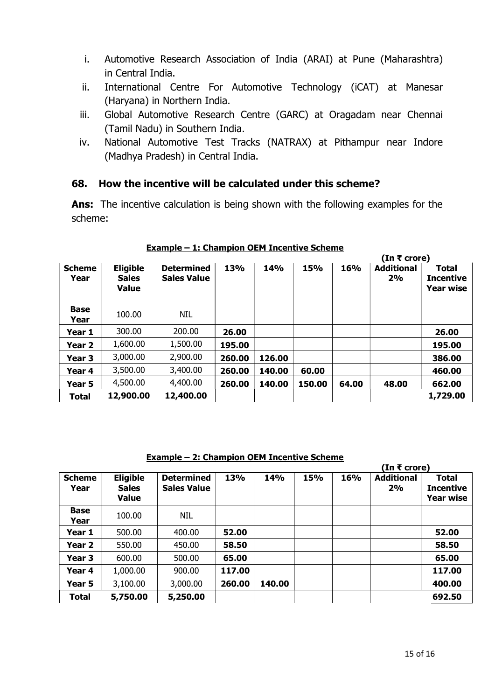- i. Automotive Research Association of India (ARAI) at Pune (Maharashtra) in Central India.
- ii. International Centre For Automotive Technology (iCAT) at Manesar (Haryana) in Northern India.
- iii. Global Automotive Research Centre (GARC) at Oragadam near Chennai (Tamil Nadu) in Southern India.
- iv. National Automotive Test Tracks (NATRAX) at Pithampur near Indore (Madhya Pradesh) in Central India.

#### 68. How the incentive will be calculated under this scheme?

Ans: The incentive calculation is being shown with the following examples for the scheme:

|                       |                                                 |                                         |        |            |        | (In ₹ crore) |                         |                                                      |
|-----------------------|-------------------------------------------------|-----------------------------------------|--------|------------|--------|--------------|-------------------------|------------------------------------------------------|
| <b>Scheme</b><br>Year | <b>Eligible</b><br><b>Sales</b><br><b>Value</b> | <b>Determined</b><br><b>Sales Value</b> | 13%    | <b>14%</b> | 15%    | 16%          | <b>Additional</b><br>2% | <b>Total</b><br><b>Incentive</b><br><b>Year wise</b> |
| <b>Base</b><br>Year   | 100.00                                          | <b>NIL</b>                              |        |            |        |              |                         |                                                      |
| Year 1                | 300.00                                          | 200.00                                  | 26.00  |            |        |              |                         | 26.00                                                |
| Year 2                | 1,600.00                                        | 1,500.00                                | 195.00 |            |        |              |                         | 195.00                                               |
| Year 3                | 3,000.00                                        | 2,900.00                                | 260.00 | 126.00     |        |              |                         | 386.00                                               |
| Year 4                | 3,500.00                                        | 3,400.00                                | 260.00 | 140.00     | 60.00  |              |                         | 460.00                                               |
| Year 5                | 4,500.00                                        | 4,400.00                                | 260.00 | 140.00     | 150.00 | 64.00        | 48.00                   | 662.00                                               |
| Total                 | 12,900.00                                       | 12,400.00                               |        |            |        |              |                         | 1,729.00                                             |

#### Example – 1: Champion OEM Incentive Scheme

Example – 2: Champion OEM Incentive Scheme

|                       |                                                 |                                         |        |        |     |     | (In ₹ crore)            |                                               |
|-----------------------|-------------------------------------------------|-----------------------------------------|--------|--------|-----|-----|-------------------------|-----------------------------------------------|
| <b>Scheme</b><br>Year | <b>Eligible</b><br><b>Sales</b><br><b>Value</b> | <b>Determined</b><br><b>Sales Value</b> | 13%    | 14%    | 15% | 16% | <b>Additional</b><br>2% | <b>Total</b><br><b>Incentive</b><br>Year wise |
| <b>Base</b><br>Year   | 100.00                                          | <b>NIL</b>                              |        |        |     |     |                         |                                               |
| Year 1                | 500.00                                          | 400.00                                  | 52.00  |        |     |     |                         | 52.00                                         |
| Year <sub>2</sub>     | 550.00                                          | 450.00                                  | 58.50  |        |     |     |                         | 58.50                                         |
| Year 3                | 600.00                                          | 500.00                                  | 65.00  |        |     |     |                         | 65.00                                         |
| Year 4                | 1,000.00                                        | 900.00                                  | 117.00 |        |     |     |                         | 117.00                                        |
| Year 5                | 3,100.00                                        | 3,000.00                                | 260.00 | 140.00 |     |     |                         | 400.00                                        |
| <b>Total</b>          | 5,750.00                                        | 5,250.00                                |        |        |     |     |                         | 692.50                                        |